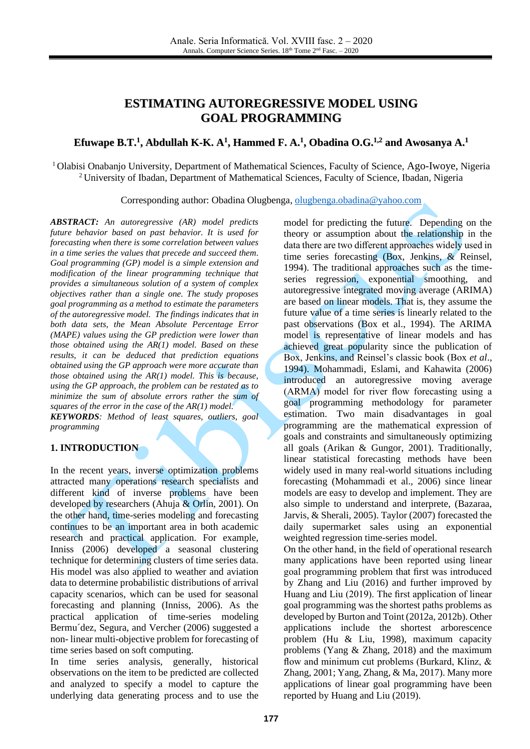# **ESTIMATING AUTOREGRESSIVE MODEL USING GOAL PROGRAMMING**

## Efuwape B.T.<sup>1</sup>, Abdullah K-K. A<sup>1</sup>, Hammed F. A.<sup>1</sup>, Obadina O.G.<sup>1,2</sup> and Awosanya A.<sup>1</sup>

<sup>1</sup>Olabisi Onabanjo University, Department of Mathematical Sciences, Faculty of Science, Ago-Iwoye, Nigeria <sup>2</sup>University of Ibadan, Department of Mathematical Sciences, Faculty of Science, Ibadan, Nigeria

Corresponding author: Obadina Olugbenga, [olugbenga.obadina@yahoo.com](mailto:olugbenga.obadina@yahoo.com)

*ABSTRACT: An autoregressive (AR) model predicts future behavior based on past behavior. It is used for forecasting when there is some correlation between values in a time series the values that precede and succeed them. Goal programming (GP) model is a simple extension and modification of the linear programming technique that provides a simultaneous solution of a system of complex objectives rather than a single one. The study proposes goal programming as a method to estimate the parameters of the autoregressive model. The findings indicates that in both data sets, the Mean Absolute Percentage Error (MAPE) values using the GP prediction were lower than those obtained using the AR(1) model. Based on these results, it can be deduced that prediction equations obtained using the GP approach were more accurate than those obtained using the AR(1) model. This is because, using the GP approach, the problem can be restated as to minimize the sum of absolute errors rather the sum of squares of the error in the case of the AR(1) model. KEYWORDS: Method of least squares, outliers, goal programming*

### **1. INTRODUCTION**

In the recent years, inverse optimization problems attracted many operations research specialists and different kind of inverse problems have been developed by researchers (Ahuja & Orlin, 2001). On the other hand, time-series modeling and forecasting continues to be an important area in both academic research and practical application. For example, Inniss (2006) developed a seasonal clustering technique for determining clusters of time series data. His model was also applied to weather and aviation data to determine probabilistic distributions of arrival capacity scenarios, which can be used for seasonal forecasting and planning (Inniss, 2006). As the practical application of time-series modeling Bermu´dez, Segura, and Vercher (2006) suggested a non- linear multi-objective problem for forecasting of time series based on soft computing.

In time series analysis, generally, historical observations on the item to be predicted are collected and analyzed to specify a model to capture the underlying data generating process and to use the model for predicting the future. Depending on the theory or assumption about the relationship in the data there are two different approaches widely used in time series forecasting (Box, Jenkins, & Reinsel, 1994). The traditional approaches such as the timeseries regression, exponential smoothing, and autoregressive integrated moving average (ARIMA) are based on linear models. That is, they assume the future value of a time series is linearly related to the past observations (Box et al., 1994). The ARIMA model is representative of linear models and has achieved great popularity since the publication of Box, Jenkins, and Reinsel's classic book (Box *et al*., 1994). Mohammadi, Eslami, and Kahawita (2006) introduced an autoregressive moving average (ARMA) model for river flow forecasting using a goal programming methodology for parameter estimation. Two main disadvantages in goal programming are the mathematical expression of goals and constraints and simultaneously optimizing all goals (Arikan & Gungor, 2001). Traditionally, linear statistical forecasting methods have been widely used in many real-world situations including forecasting (Mohammadi et al., 2006) since linear models are easy to develop and implement. They are also simple to understand and interprete, (Bazaraa, Jarvis, & Sherali, 2005). Taylor (2007) forecasted the daily supermarket sales using an exponential weighted regression time-series model.

On the other hand, in the field of operational research many applications have been reported using linear goal programming problem that first was introduced by Zhang and Liu (2016) and further improved by Huang and Liu (2019). The first application of linear goal programming was the shortest paths problems as developed by Burton and Toint (2012a, 2012b). Other applications include the shortest arborescence problem (Hu & Liu, 1998), maximum capacity problems (Yang & Zhang, 2018) and the maximum flow and minimum cut problems (Burkard, Klinz, & Zhang, 2001; Yang, Zhang, & Ma, 2017). Many more applications of linear goal programming have been reported by Huang and Liu (2019).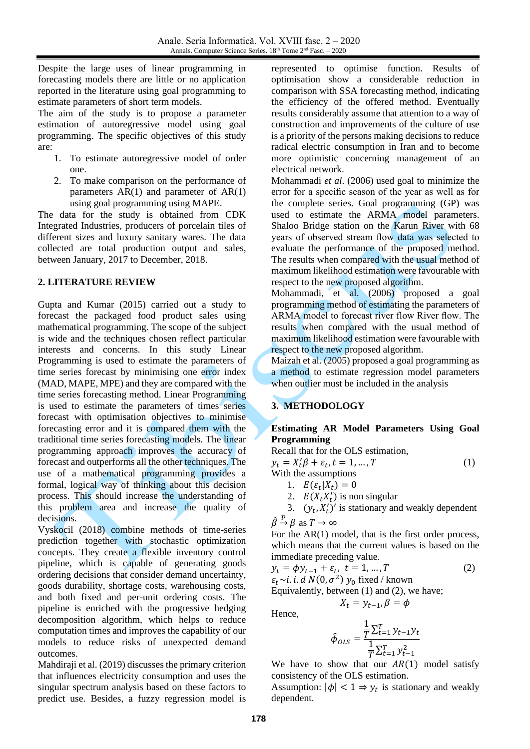Despite the large uses of linear programming in forecasting models there are little or no application reported in the literature using goal programming to estimate parameters of short term models.

The aim of the study is to propose a parameter estimation of autoregressive model using goal programming. The specific objectives of this study are:

- 1. To estimate autoregressive model of order one.
- 2. To make comparison on the performance of parameters  $AR(1)$  and parameter of  $AR(1)$ using goal programming using MAPE.

The data for the study is obtained from CDK Integrated Industries, producers of porcelain tiles of different sizes and luxury sanitary wares. The data collected are total production output and sales, between January, 2017 to December, 2018.

## **2. LITERATURE REVIEW**

Gupta and Kumar (2015) carried out a study to forecast the packaged food product sales using mathematical programming. The scope of the subject is wide and the techniques chosen reflect particular interests and concerns. In this study Linear Programming is used to estimate the parameters of time series forecast by minimising one error index (MAD, MAPE, MPE) and they are compared with the time series forecasting method. Linear Programming is used to estimate the parameters of times series forecast with optimisation objectives to minimise forecasting error and it is compared them with the traditional time series forecasting models. The linear programming approach improves the accuracy of forecast and outperforms all the other techniques. The use of a mathematical programming provides a formal, logical way of thinking about this decision process. This should increase the understanding of this problem area and increase the quality of decisions.

Vyskocil (2018) combine methods of time-series prediction together with stochastic optimization concepts. They create a flexible inventory control pipeline, which is capable of generating goods ordering decisions that consider demand uncertainty, goods durability, shortage costs, warehousing costs, and both fixed and per-unit ordering costs. The pipeline is enriched with the progressive hedging decomposition algorithm, which helps to reduce computation times and improves the capability of our models to reduce risks of unexpected demand outcomes.

Mahdiraji et al. (2019) discusses the primary criterion that influences electricity consumption and uses the singular spectrum analysis based on these factors to predict use. Besides, a fuzzy regression model is represented to optimise function. Results of optimisation show a considerable reduction in comparison with SSA forecasting method, indicating the efficiency of the offered method. Eventually results considerably assume that attention to a way of construction and improvements of the culture of use is a priority of the persons making decisions to reduce radical electric consumption in Iran and to become more optimistic concerning management of an electrical network.

Mohammadi *et al*. (2006) used goal to minimize the error for a specific season of the year as well as for the complete series. Goal programming (GP) was used to estimate the ARMA model parameters. Shaloo Bridge station on the Karun River with 68 years of observed stream flow data was selected to evaluate the performance of the proposed method. The results when compared with the usual method of maximum likelihood estimation were favourable with respect to the new proposed algorithm.

Mohammadi, et al. (2006) proposed a goal programming method of estimating the parameters of ARMA model to forecast river flow River flow. The results when compared with the usual method of maximum likelihood estimation were favourable with respect to the new proposed algorithm.

Maizah et al. (2005) proposed a goal programming as a method to estimate regression model parameters when outlier must be included in the analysis

## **3. METHODOLOGY**

## **Estimating AR Model Parameters Using Goal Programming**

Recall that for the OLS estimation,  $y_t = X_t' \beta + \varepsilon_t, t = 1, ..., T$  (1) With the assumptions 1.  $E(\varepsilon_t | X_t) = 0$ 2.  $E(X_t X_t')$  is non singular

3.  $(y_t, X_t')'$  is stationary and weakly dependent  $\hat{\beta} \stackrel{p}{\rightarrow} \beta$  as  $T \rightarrow \infty$ 

For the  $AR(1)$  model, that is the first order process, which means that the current values is based on the immediate preceding value.

$$
y_t = \phi y_{t-1} + \varepsilon_t, \ t = 1, ..., T
$$
 (2)

 $\varepsilon_t$ ~*i. i. d N*(0,  $\sigma^2$ )  $y_0$  fixed / known

Equivalently, between (1) and (2), we have;

$$
X_t = y_{t-1}, \beta = \phi
$$

Hence,

$$
\hat{\phi}_{OLS} = \frac{\frac{1}{T} \sum_{t=1}^{T} y_{t-1} y_t}{\frac{1}{T} \sum_{t=1}^{T} y_{t-1}^2}
$$

We have to show that our  $AR(1)$  model satisfy consistency of the OLS estimation.

Assumption:  $|\phi| < 1 \Rightarrow y_t$  is stationary and weakly dependent.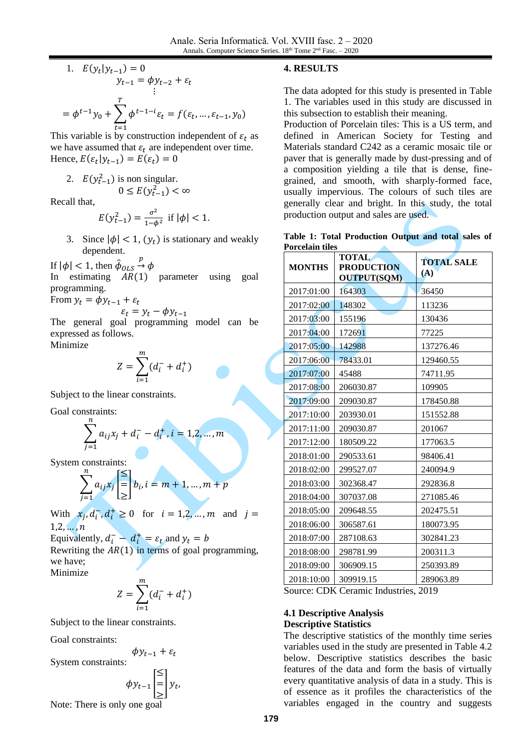1. 
$$
E(y_t|y_{t-1}) = 0
$$
  
\n $y_{t-1} = \phi y_{t-2} + \varepsilon_t$   
\n $\vdots$   
\n $= \phi^{t-1} y_0 + \sum_{t=1}^T \phi^{t-1-t} \varepsilon_t = f(\varepsilon_t, ..., \varepsilon_{t-1}, y_0)$ 

This variable is by construction independent of  $\varepsilon_t$  as we have assumed that  $\varepsilon_t$  are independent over time. Hence,  $E(\varepsilon_t | y_{t-1}) = E(\varepsilon_t) = 0$ 

2. 
$$
E(y_{t-1}^2)
$$
 is non singular.  
  $0 \le E(y_{t-1}^2) < \infty$ 

Recall that,

$$
E(y_{t-1}^2) = \frac{\sigma^2}{1 - \phi^2} \text{ if } |\phi| < 1.
$$

3. Since  $|\phi| < 1$ ,  $(y_t)$  is stationary and weakly dependent.

If  $|\phi|$  < 1, then  $\hat{\phi}_{OLS}$  $\stackrel{p}{\rightarrow} \phi$ 

In estimating  $AR(1)$  parameter using goal programming.

From  $y_t = \phi y_{t-1} + \varepsilon_t$ 

$$
\varepsilon_t = y_t - \phi y_{t-1}
$$

The general goal programming model can be expressed as follows.

Minimize

$$
Z = \sum_{i=1}^{m} (d_i^- + d_i^+)
$$

Subject to the linear constraints.

Goal constraints:

$$
\sum_{j=1}^{n} a_{ij}x_j + d_i^- - d_i^+, i = 1, 2, ..., m
$$

System constraints:

$$
\sum_{j=1}^{n} a_{ij} x_j \begin{bmatrix} \leq \\ = \\ \geq \end{bmatrix} b_i, i = m+1, \dots, m+p
$$

With  $x_j, d_i, d_i^+ \ge 0$  for  $i = 1, 2, ..., m$  and  $j =$  $1, 2, ..., n$ 

Equivalently,  $d_i^- - d_i^+ = \varepsilon_t$  and  $y_t = b$ 

Rewriting the  $AR(1)$  in terms of goal programming, we have; Minimize

$$
Z=\sum_{i=1}^m (d_i^-+d_i^+)
$$

Subject to the linear constraints.

Goal constraints:

 $\phi y_{t-1} + \varepsilon_t$ System constraints:

$$
\begin{aligned}\n\phi_{v_{t-1}} \leq \phi_{v_{t-1}} \leq \end{aligned}
$$

$$
\phi y_{t-1} \begin{bmatrix} = \\ = \\ \geq \end{bmatrix} y_t,
$$

Note: There is only one goal

#### **4. RESULTS**

The data adopted for this study is presented in Table 1. The variables used in this study are discussed in this subsection to establish their meaning.

Production of Porcelain tiles: This is a US term, and defined in American Society for Testing and Materials standard C242 as a ceramic mosaic tile or paver that is generally made by dust-pressing and of a composition yielding a tile that is dense, finegrained, and smooth, with sharply-formed face, usually impervious. The colours of such tiles are generally clear and bright. In this study, the total production output and sales are used.

|                        |  | Table 1: Total Production Output and total sales of |  |  |  |
|------------------------|--|-----------------------------------------------------|--|--|--|
| <b>Porcelain tiles</b> |  |                                                     |  |  |  |

| <b>MONTHS</b>           | <b>TOTAL</b><br><b>PRODUCTION</b><br><b>OUTPUT(SQM)</b> | <b>TOTAL SALE</b><br>(A) |  |
|-------------------------|---------------------------------------------------------|--------------------------|--|
| 2017:01:00              | 164303                                                  | 36450                    |  |
| 2017:02:00              | 148302                                                  | 113236                   |  |
| 2017:03:00              | 155196                                                  | 130436                   |  |
| 2017:04:00              | 172691                                                  | 77225                    |  |
| 2017:05:00              | 142988                                                  | 137276.46                |  |
| 2017:06:00              | 78433.01                                                | 129460.55                |  |
| 2017:07:00              | 45488                                                   | 74711.95                 |  |
| 2017:08:00              | 206030.87                                               | 109905                   |  |
| 2017:09:00              | 209030.87                                               | 178450.88                |  |
| 2017:10:00              | 203930.01                                               | 151552.88                |  |
| 2017:11:00              | 209030.87                                               | 201067                   |  |
| 2017:12:00              | 180509.22                                               | 177063.5                 |  |
| 2018:01:00              | 290533.61                                               | 98406.41                 |  |
| 2018:02:00              | 299527.07                                               | 240094.9                 |  |
| 2018:03:00              | 302368.47                                               | 292836.8                 |  |
| 2018:04:00              | 307037.08                                               | 271085.46                |  |
| 2018:05:00              | 209648.55                                               | 202475.51                |  |
| 2018:06:00              | 306587.61                                               | 180073.95                |  |
| 2018:07:00              | 287108.63                                               | 302841.23                |  |
| 2018:08:00              | 298781.99                                               | 200311.3                 |  |
| 2018:09:00              | 306909.15                                               | 250393.89                |  |
| 2018:10:00<br>309919.15 |                                                         | 289063.89                |  |

Source: CDK Ceramic Industries, 2019

## **4.1 Descriptive Analysis Descriptive Statistics**

The descriptive statistics of the monthly time series variables used in the study are presented in Table 4.2 below. Descriptive statistics describes the basic features of the data and form the basis of virtually every quantitative analysis of data in a study. This is of essence as it profiles the characteristics of the variables engaged in the country and suggests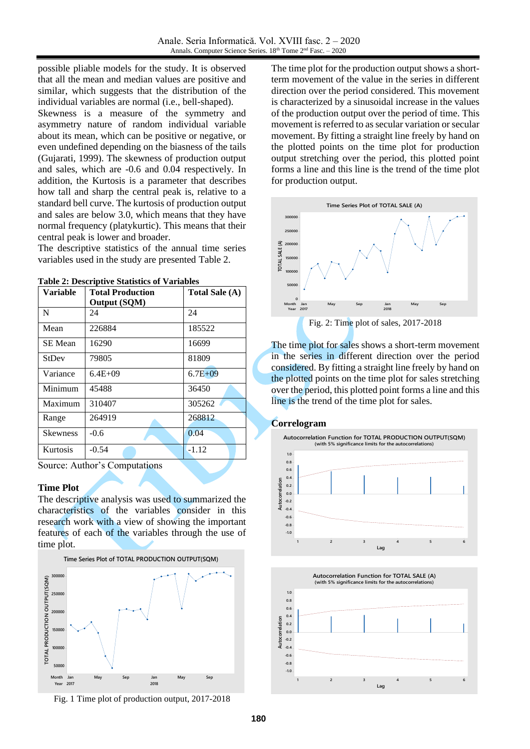possible pliable models for the study. It is observed that all the mean and median values are positive and similar, which suggests that the distribution of the individual variables are normal (i.e., bell-shaped).

Skewness is a measure of the symmetry and asymmetry nature of random individual variable about its mean, which can be positive or negative, or even undefined depending on the biasness of the tails (Gujarati, 1999). The skewness of production output and sales, which are -0.6 and 0.04 respectively. In addition, the Kurtosis is a parameter that describes how tall and sharp the central peak is, relative to a standard bell curve. The kurtosis of production output and sales are below 3.0, which means that they have normal frequency (platykurtic). This means that their central peak is lower and broader.

The descriptive statistics of the annual time series variables used in the study are presented Table 2.

| Variable        | <b>Total Production</b> | Total Sale (A) |
|-----------------|-------------------------|----------------|
|                 | <b>Output (SQM)</b>     |                |
| N               | 24                      | 24             |
| Mean            | 226884                  | 185522         |
| <b>SE</b> Mean  | 16290                   | 16699          |
| <b>StDev</b>    | 79805                   | 81809          |
| Variance        | $6.4E + 09$             | $6.7E + 09$    |
| Minimum         | 45488                   | 36450          |
| Maximum         | 310407                  | 305262         |
| Range           | 264919                  | 268812         |
| <b>Skewness</b> | $-0.6$                  | 0.04           |
| <b>Kurtosis</b> | $-0.54$                 | $-1.12$        |

**Table 2: Descriptive Statistics of Variables**

Source: Author's Computations

#### **Time Plot**

The descriptive analysis was used to summarized the characteristics of the variables consider in this research work with a view of showing the important features of each of the variables through the use of time plot.



Fig. 1 Time plot of production output, 2017-2018

The time plot for the production output shows a shortterm movement of the value in the series in different direction over the period considered. This movement is characterized by a sinusoidal increase in the values of the production output over the period of time. This movement is referred to as secular variation or secular movement. By fitting a straight line freely by hand on the plotted points on the time plot for production output stretching over the period, this plotted point forms a line and this line is the trend of the time plot for production output.



The time plot for sales shows a short-term movement in the series in different direction over the period considered. By fitting a straight line freely by hand on the plotted points on the time plot for sales stretching over the period, this plotted point forms a line and this line is the trend of the time plot for sales.

#### **Correlogram**



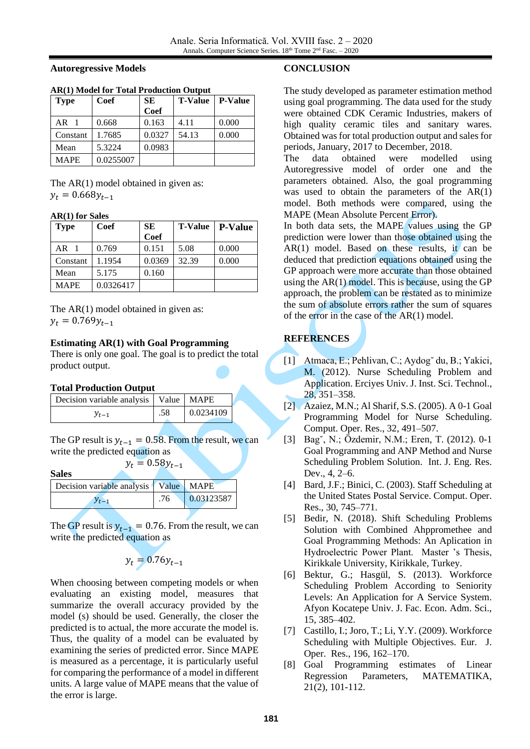**Autoregressive Models**

| <b>Type</b> | Coef      | <b>SE</b> | <b>T-Value</b> | <b>P-Value</b> |
|-------------|-----------|-----------|----------------|----------------|
|             |           | Coef      |                |                |
| AR          | 0.668     | 0.163     | 4.11           | 0.000          |
| Constant    | 1.7685    | 0.0327    | 54.13          | 0.000          |
| Mean        | 5.3224    | 0.0983    |                |                |
| MAPE        | 0.0255007 |           |                |                |

#### **AR(1) Model for Total Production Output**

The AR(1) model obtained in given as:  $y_t = 0.668y_{t-1}$ 

#### **AR(1) for Sales**

| <b>Type</b> | Coef      | <b>SE</b>   | <b>T-Value</b> | <b>P-Value</b> |
|-------------|-----------|-------------|----------------|----------------|
|             |           | <b>Coef</b> |                |                |
| $AR$ 1      | 0.769     | 0.151       | 5.08           | 0.000          |
| Constant    | 1.1954    | 0.0369      | 32.39          | 0.000          |
| Mean        | 5.175     | 0.160       |                |                |
| <b>MAPE</b> | 0.0326417 |             |                |                |

The AR(1) model obtained in given as:  $y_t = 0.769y_{t-1}$ 

## **Estimating AR(1) with Goal Programming**

There is only one goal. The goal is to predict the total product output.

## **Total Production Output**

| Decision variable analysis   Value   MAPE |     |           |  |
|-------------------------------------------|-----|-----------|--|
| $y_{t-1}$                                 | .58 | 0.0234109 |  |

The GP result is  $y_{t-1} = 0.58$ . From the result, we can write the predicted equation as  $y_t = 0.58y_{t-1}$ 

**Sales**

| <b>DUILD</b>                            |     |                    |
|-----------------------------------------|-----|--------------------|
| Decision variable analysis Value   MAPE |     |                    |
| $y_{t-1}$                               | .76 | $\big  0.03123587$ |

The GP result is  $y_{t-1} = 0.76$ . From the result, we can write the predicted equation as

$$
y_t = 0.76y_{t-1}
$$

When choosing between competing models or when evaluating an existing model, measures that summarize the overall accuracy provided by the model (s) should be used. Generally, the closer the predicted is to actual, the more accurate the model is. Thus, the quality of a model can be evaluated by examining the series of predicted error. Since MAPE is measured as a percentage, it is particularly useful for comparing the performance of a model in different units. A large value of MAPE means that the value of the error is large.

#### **CONCLUSION**

The study developed as parameter estimation method using goal programming. The data used for the study were obtained CDK Ceramic Industries, makers of high quality ceramic tiles and sanitary wares. Obtained was for total production output and sales for periods, January, 2017 to December, 2018.

The data obtained were modelled using Autoregressive model of order one and the parameters obtained. Also, the goal programming was used to obtain the parameters of the AR(1) model. Both methods were compared, using the MAPE (Mean Absolute Percent Error).

In both data sets, the MAPE values using the GP prediction were lower than those obtained using the  $AR(1)$  model. Based on these results, it can be deduced that prediction equations obtained using the GP approach were more accurate than those obtained using the  $AR(1)$  model. This is because, using the GP approach, the problem can be restated as to minimize the sum of absolute errors rather the sum of squares of the error in the case of the AR(1) model.

# **REFERENCES**

- [1] Atmaca, E.; Pehlivan, C.; Aydog˘ du, B.; Yakici, M. (2012). Nurse Scheduling Problem and Application. Erciyes Univ. J. Inst. Sci. Technol., 28, 351–358.
- [2] Azaiez, M.N.; Al Sharif, S.S. (2005). A 0-1 Goal Programming Model for Nurse Scheduling. Comput. Oper. Res., 32, 491–507.
- [3] Bag˘, N.; Özdemir, N.M.; Eren, T. (2012). 0-1 Goal Programming and ANP Method and Nurse Scheduling Problem Solution. Int. J. Eng. Res. Dev., 4, 2–6.
- [4] Bard, J.F.; Binici, C. (2003). Staff Scheduling at the United States Postal Service. Comput. Oper. Res., 30, 745–771.
- [5] Bedir, N. (2018). Shift Scheduling Problems Solution with Combined Ahppromethee and Goal Programming Methods: An Aplication in Hydroelectric Power Plant. Master 's Thesis, Kirikkale University, Kirikkale, Turkey.
- [6] Bektur, G.; Hasgül, S. (2013). Workforce Scheduling Problem According to Seniority Levels: An Application for A Service System. Afyon Kocatepe Univ. J. Fac. Econ. Adm. Sci., 15, 385–402.
- [7] Castillo, I.; Joro, T.; Li, Y.Y. (2009). Workforce Scheduling with Multiple Objectives. Eur. J. Oper. Res., 196, 162–170.
- [8] Goal Programming estimates of Linear Regression Parameters, MATEMATIKA, 21(2), 101-112.